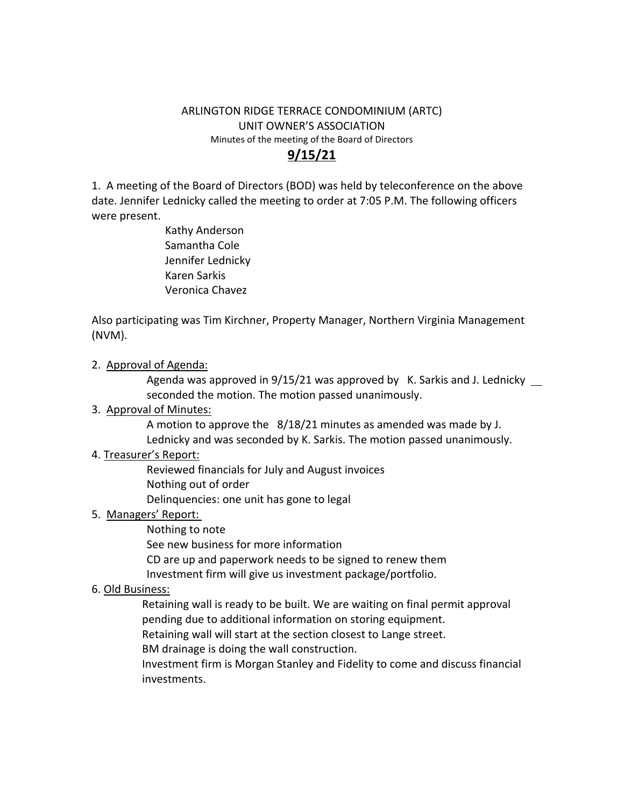#### ARLINGTON RIDGE TERRACE CONDOMINIUM (ARTC) UNIT OWNER'S ASSOCIATION Minutes of the meeting of the Board of Directors **9/15/21**

1. A meeting of the Board of Directors (BOD) was held by teleconference on the above date. Jennifer Lednicky called the meeting to order at 7:05 P.M. The following officers were present.

> Kathy Anderson Samantha Cole Jennifer Lednicky Karen Sarkis Veronica Chavez

Also participating was Tim Kirchner, Property Manager, Northern Virginia Management (NVM).

2. Approval of Agenda:

Agenda was approved in  $9/15/21$  was approved by K. Sarkis and J. Lednicky  $\mu$  seconded the motion. The motion passed unanimously.

# 3. Approval of Minutes:

A motion to approve the 8/18/21 minutes as amended was made by J. Lednicky and was seconded by K. Sarkis. The motion passed unanimously.

# 4. Treasurer's Report:

Reviewed financials for July and August invoices Nothing out of order

Delinquencies: one unit has gone to legal

# 5. Managers' Report:

Nothing to note

See new business for more information

CD are up and paperwork needs to be signed to renew them

Investment firm will give us investment package/portfolio.

# 6. Old Business:

Retaining wall is ready to be built. We are waiting on final permit approval pending due to additional information on storing equipment.

Retaining wall will start at the section closest to Lange street.

BM drainage is doing the wall construction.

Investment firm is Morgan Stanley and Fidelity to come and discuss financial investments.